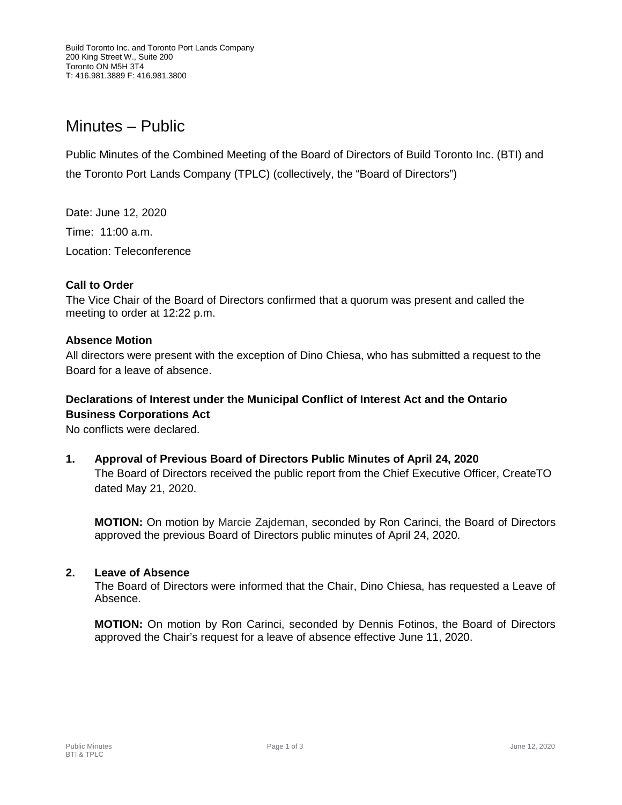# Minutes – Public

Public Minutes of the Combined Meeting of the Board of Directors of Build Toronto Inc. (BTI) and the Toronto Port Lands Company (TPLC) (collectively, the "Board of Directors")

Date: June 12, 2020 Time: 11:00 a.m. Location: Teleconference

## **Call to Order**

The Vice Chair of the Board of Directors confirmed that a quorum was present and called the meeting to order at 12:22 p.m.

#### **Absence Motion**

All directors were present with the exception of Dino Chiesa, who has submitted a request to the Board for a leave of absence.

# **Declarations of Interest under the Municipal Conflict of Interest Act and the Ontario Business Corporations Act**

No conflicts were declared.

**1. Approval of Previous Board of Directors Public Minutes of April 24, 2020**

The Board of Directors received the public report from the Chief Executive Officer, CreateTO dated May 21, 2020.

**MOTION:** On motion by Marcie Zajdeman, seconded by Ron Carinci, the Board of Directors approved the previous Board of Directors public minutes of April 24, 2020.

#### **2. Leave of Absence**

The Board of Directors were informed that the Chair, Dino Chiesa, has requested a Leave of Absence.

**MOTION:** On motion by Ron Carinci, seconded by Dennis Fotinos, the Board of Directors approved the Chair's request for a leave of absence effective June 11, 2020.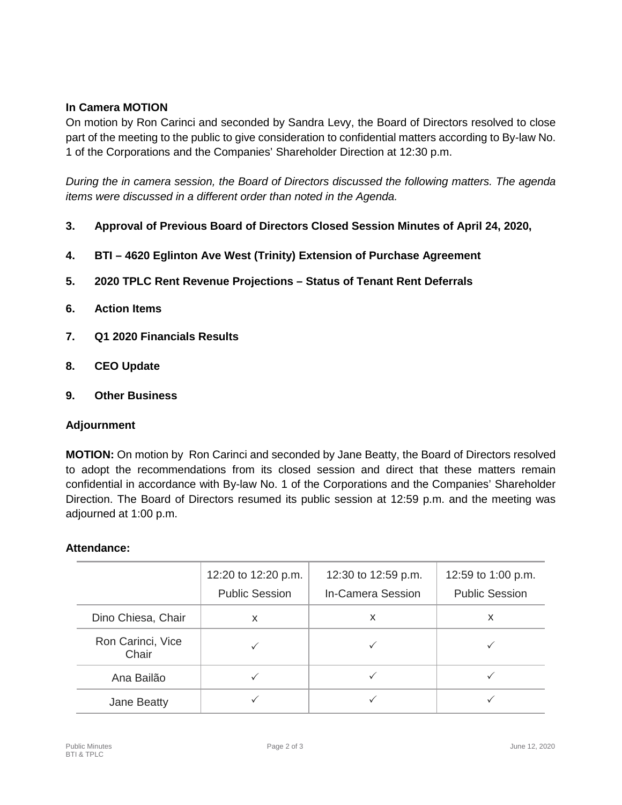# **In Camera MOTION**

On motion by Ron Carinci and seconded by Sandra Levy, the Board of Directors resolved to close part of the meeting to the public to give consideration to confidential matters according to By-law No. 1 of the Corporations and the Companies' Shareholder Direction at 12:30 p.m.

*During the in camera session, the Board of Directors discussed the following matters. The agenda items were discussed in a different order than noted in the Agenda.*

- **3. Approval of Previous Board of Directors Closed Session Minutes of April 24, 2020,**
- **4. BTI – 4620 Eglinton Ave West (Trinity) Extension of Purchase Agreement**
- **5. 2020 TPLC Rent Revenue Projections – Status of Tenant Rent Deferrals**
- **6. Action Items**
- **7. Q1 2020 Financials Results**
- **8. CEO Update**
- **9. Other Business**

## **Adjournment**

**MOTION:** On motion by Ron Carinci and seconded by Jane Beatty, the Board of Directors resolved to adopt the recommendations from its closed session and direct that these matters remain confidential in accordance with By-law No. 1 of the Corporations and the Companies' Shareholder Direction. The Board of Directors resumed its public session at 12:59 p.m. and the meeting was adjourned at 1:00 p.m.

## **Attendance:**

|                            | 12:20 to 12:20 p.m.<br><b>Public Session</b> | 12:30 to 12:59 p.m.<br>In-Camera Session | 12:59 to 1:00 p.m.<br><b>Public Session</b> |
|----------------------------|----------------------------------------------|------------------------------------------|---------------------------------------------|
| Dino Chiesa, Chair         | x                                            | X                                        | x                                           |
| Ron Carinci, Vice<br>Chair |                                              |                                          |                                             |
| Ana Bailão                 |                                              |                                          |                                             |
| Jane Beatty                |                                              |                                          |                                             |